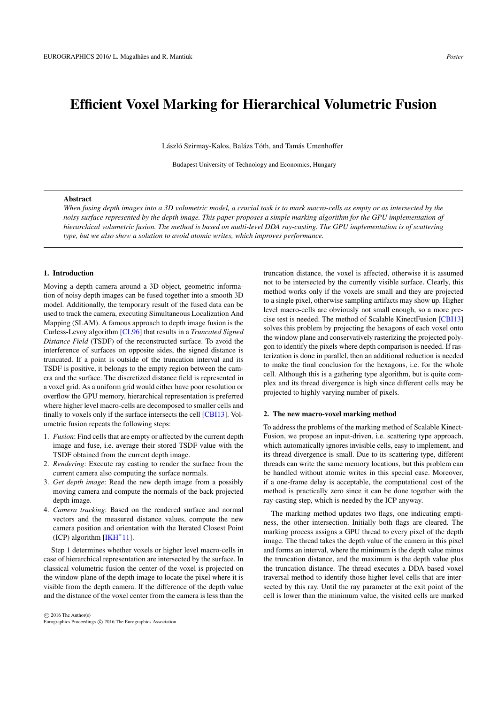# Efficient Voxel Marking for Hierarchical Volumetric Fusion

László Szirmay-Kalos, Balázs Tóth, and Tamás Umenhoffer

Budapest University of Technology and Economics, Hungary

## Abstract

*When fusing depth images into a 3D volumetric model, a crucial task is to mark macro-cells as empty or as intersected by the noisy surface represented by the depth image. This paper proposes a simple marking algorithm for the GPU implementation of hierarchical volumetric fusion. The method is based on multi-level DDA ray-casting. The GPU implementation is of scattering type, but we also show a solution to avoid atomic writes, which improves performance.*

## 1. Introduction

Moving a depth camera around a 3D object, geometric information of noisy depth images can be fused together into a smooth 3D model. Additionally, the temporary result of the fused data can be used to track the camera, executing Simultaneous Localization And Mapping (SLAM). A famous approach to depth image fusion is the Curless-Levoy algorithm [CL96] that results in a *Truncated Signed Distance Field* (TSDF) of the reconstructed surface. To avoid the interference of surfaces on opposite sides, the signed distance is truncated. If a point is outside of the truncation interval and its TSDF is positive, it belongs to the empty region between the camera and the surface. The discretized distance field is represented in a voxel grid. As a uniform grid would either have poor resolution or overflow the GPU memory, hierarchical representation is preferred where higher level macro-cells are decomposed to smaller cells and finally to voxels only if the surface intersects the cell [CBI13]. Volumetric fusion repeats the following steps:

- 1. *Fusion*: Find cells that are empty or affected by the current depth image and fuse, i.e. average their stored TSDF value with the TSDF obtained from the current depth image.
- 2. *Rendering*: Execute ray casting to render the surface from the current camera also computing the surface normals.
- 3. *Get depth image*: Read the new depth image from a possibly moving camera and compute the normals of the back projected depth image.
- 4. *Camera tracking*: Based on the rendered surface and normal vectors and the measured distance values, compute the new camera position and orientation with the Iterated Closest Point (ICP) algorithm [IKH*∗* 11].

Step 1 determines whether voxels or higher level macro-cells in case of hierarchical representation are intersected by the surface. In classical volumetric fusion the center of the voxel is projected on the window plane of the depth image to locate the pixel where it is visible from the depth camera. If the difference of the depth value and the distance of the voxel center from the camera is less than the

 $\circ$  2016 The Author(s) Eurographics Proceedings *C* 2016 The Eurographics Association. truncation distance, the voxel is affected, otherwise it is assumed not to be intersected by the currently visible surface. Clearly, this method works only if the voxels are small and they are projected to a single pixel, otherwise sampling artifacts may show up. Higher level macro-cells are obviously not small enough, so a more precise test is needed. The method of Scalable KinectFusion [CBI13] solves this problem by projecting the hexagons of each voxel onto the window plane and conservatively rasterizing the projected polygon to identify the pixels where depth comparison is needed. If rasterization is done in parallel, then an additional reduction is needed to make the final conclusion for the hexagons, i.e. for the whole cell. Although this is a gathering type algorithm, but is quite complex and its thread divergence is high since different cells may be projected to highly varying number of pixels.

#### 2. The new macro-voxel marking method

To address the problems of the marking method of Scalable Kinect-Fusion, we propose an input-driven, i.e. scattering type approach, which automatically ignores invisible cells, easy to implement, and its thread divergence is small. Due to its scattering type, different threads can write the same memory locations, but this problem can be handled without atomic writes in this special case. Moreover, if a one-frame delay is acceptable, the computational cost of the method is practically zero since it can be done together with the ray-casting step, which is needed by the ICP anyway.

The marking method updates two flags, one indicating emptiness, the other intersection. Initially both flags are cleared. The marking process assigns a GPU thread to every pixel of the depth image. The thread takes the depth value of the camera in this pixel and forms an interval, where the minimum is the depth value minus the truncation distance, and the maximum is the depth value plus the truncation distance. The thread executes a DDA based voxel traversal method to identify those higher level cells that are intersected by this ray. Until the ray parameter at the exit point of the cell is lower than the minimum value, the visited cells are marked